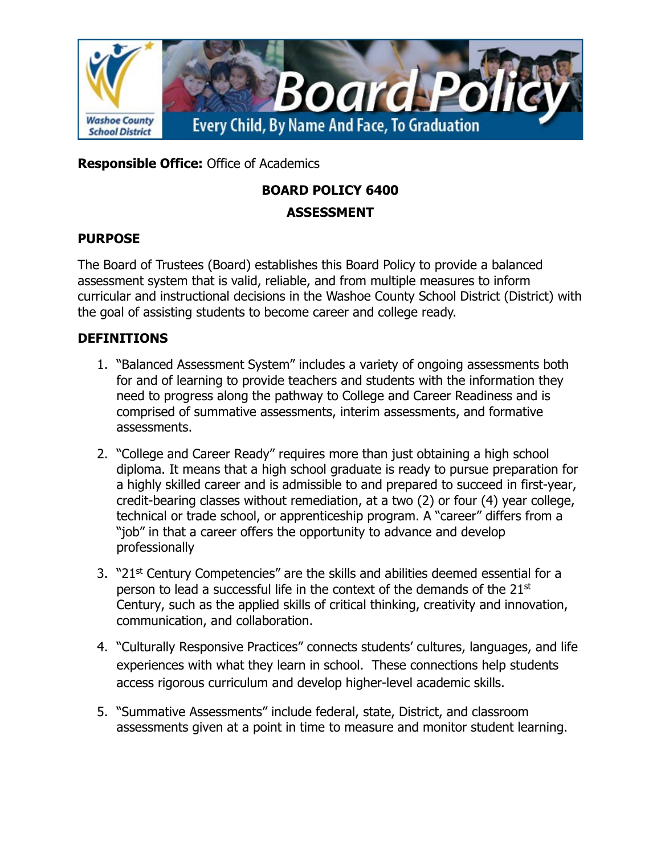

**Responsible Office:** Office of Academics

# **BOARD POLICY 6400 ASSESSMENT**

#### **PURPOSE**

The Board of Trustees (Board) establishes this Board Policy to provide a balanced assessment system that is valid, reliable, and from multiple measures to inform curricular and instructional decisions in the Washoe County School District (District) with the goal of assisting students to become career and college ready.

## **DEFINITIONS**

- 1. "Balanced Assessment System" includes a variety of ongoing assessments both for and of learning to provide teachers and students with the information they need to progress along the pathway to College and Career Readiness and is comprised of summative assessments, interim assessments, and formative assessments.
- 2. "College and Career Ready" requires more than just obtaining a high school diploma. It means that a high school graduate is ready to pursue preparation for a highly skilled career and is admissible to and prepared to succeed in first-year, credit-bearing classes without remediation, at a two (2) or four (4) year college, technical or trade school, or apprenticeship program. A "career" differs from a "job" in that a career offers the opportunity to advance and develop professionally
- 3. "21<sup>st</sup> Century Competencies" are the skills and abilities deemed essential for a person to lead a successful life in the context of the demands of the 21<sup>st</sup> Century, such as the applied skills of critical thinking, creativity and innovation, communication, and collaboration.
- 4. "Culturally Responsive Practices" connects students' cultures, languages, and life experiences with what they learn in school. These connections help students access rigorous curriculum and develop higher-level academic skills.
- 5. "Summative Assessments" include federal, state, District, and classroom assessments given at a point in time to measure and monitor student learning.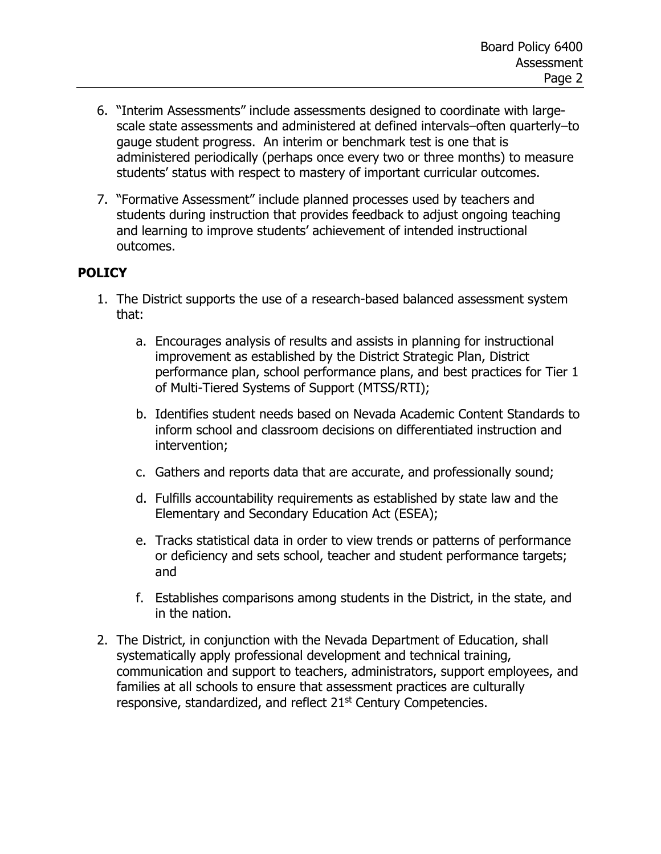- 6. "Interim Assessments" include assessments designed to coordinate with largescale state assessments and administered at defined intervals–often quarterly–to gauge student progress. An interim or benchmark test is one that is administered periodically (perhaps once every two or three months) to measure students' status with respect to mastery of important curricular outcomes.
- 7. "Formative Assessment" include planned processes used by teachers and students during instruction that provides feedback to adjust ongoing teaching and learning to improve students' achievement of intended instructional outcomes.

## **POLICY**

- 1. The District supports the use of a research-based balanced assessment system that:
	- a. Encourages analysis of results and assists in planning for instructional improvement as established by the District Strategic Plan, District performance plan, school performance plans, and best practices for Tier 1 of Multi-Tiered Systems of Support (MTSS/RTI);
	- b. Identifies student needs based on Nevada Academic Content Standards to inform school and classroom decisions on differentiated instruction and intervention;
	- c. Gathers and reports data that are accurate, and professionally sound;
	- d. Fulfills accountability requirements as established by state law and the Elementary and Secondary Education Act (ESEA);
	- e. Tracks statistical data in order to view trends or patterns of performance or deficiency and sets school, teacher and student performance targets; and
	- f. Establishes comparisons among students in the District, in the state, and in the nation.
- 2. The District, in conjunction with the Nevada Department of Education, shall systematically apply professional development and technical training, communication and support to teachers, administrators, support employees, and families at all schools to ensure that assessment practices are culturally responsive, standardized, and reflect 21<sup>st</sup> Century Competencies.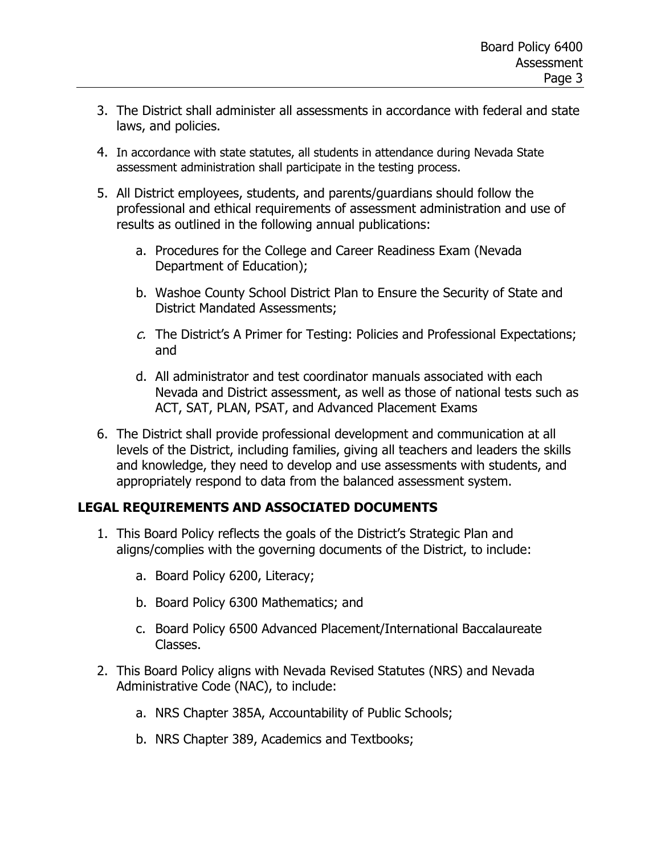- 3. The District shall administer all assessments in accordance with federal and state laws, and policies.
- 4. In accordance with state statutes, all students in attendance during Nevada State assessment administration shall participate in the testing process.
- 5. All District employees, students, and parents/guardians should follow the professional and ethical requirements of assessment administration and use of results as outlined in the following annual publications:
	- a. Procedures for the College and Career Readiness Exam (Nevada Department of Education);
	- b. Washoe County School District Plan to Ensure the Security of State and District Mandated Assessments;
	- $c$ . The District's A Primer for Testing: Policies and Professional Expectations; and
	- d. All administrator and test coordinator manuals associated with each Nevada and District assessment, as well as those of national tests such as ACT, SAT, PLAN, PSAT, and Advanced Placement Exams
- 6. The District shall provide professional development and communication at all levels of the District, including families, giving all teachers and leaders the skills and knowledge, they need to develop and use assessments with students, and appropriately respond to data from the balanced assessment system.

## **LEGAL REQUIREMENTS AND ASSOCIATED DOCUMENTS**

- 1. This Board Policy reflects the goals of the District's Strategic Plan and aligns/complies with the governing documents of the District, to include:
	- a. Board Policy 6200, Literacy;
	- b. Board Policy 6300 Mathematics; and
	- c. Board Policy 6500 Advanced Placement/International Baccalaureate Classes.
- 2. This Board Policy aligns with Nevada Revised Statutes (NRS) and Nevada Administrative Code (NAC), to include:
	- a. NRS Chapter 385A, Accountability of Public Schools;
	- b. NRS Chapter 389, Academics and Textbooks;